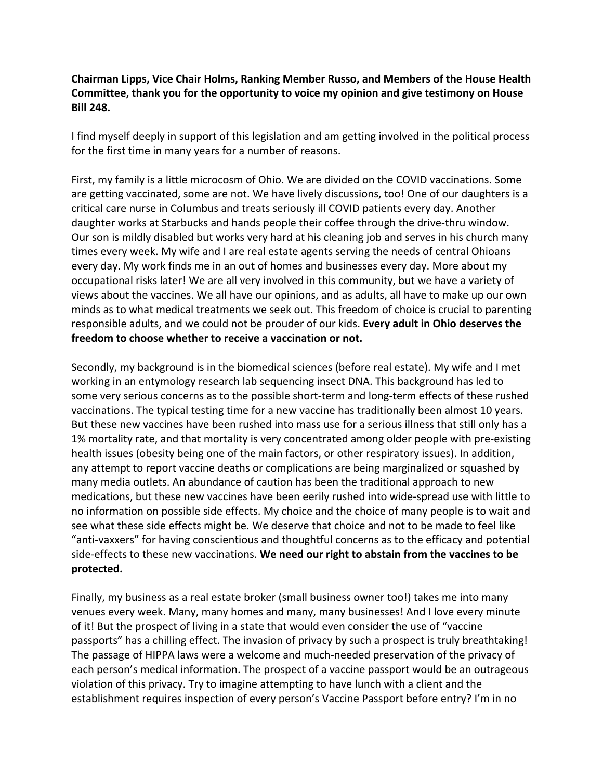## **Chairman Lipps, Vice Chair Holms, Ranking Member Russo, and Members of the House Health Committee, thank you for the opportunity to voice my opinion and give testimony on House Bill 248.**

I find myself deeply in support of this legislation and am getting involved in the political process for the first time in many years for a number of reasons.

First, my family is a little microcosm of Ohio. We are divided on the COVID vaccinations. Some are getting vaccinated, some are not. We have lively discussions, too! One of our daughters is a critical care nurse in Columbus and treats seriously ill COVID patients every day. Another daughter works at Starbucks and hands people their coffee through the drive-thru window. Our son is mildly disabled but works very hard at his cleaning job and serves in his church many times every week. My wife and I are real estate agents serving the needs of central Ohioans every day. My work finds me in an out of homes and businesses every day. More about my occupational risks later! We are all very involved in this community, but we have a variety of views about the vaccines. We all have our opinions, and as adults, all have to make up our own minds as to what medical treatments we seek out. This freedom of choice is crucial to parenting responsible adults, and we could not be prouder of our kids. **Every adult in Ohio deserves the freedom to choose whether to receive a vaccination or not.** 

Secondly, my background is in the biomedical sciences (before real estate). My wife and I met working in an entymology research lab sequencing insect DNA. This background has led to some very serious concerns as to the possible short-term and long-term effects of these rushed vaccinations. The typical testing time for a new vaccine has traditionally been almost 10 years. But these new vaccines have been rushed into mass use for a serious illness that still only has a 1% mortality rate, and that mortality is very concentrated among older people with pre-existing health issues (obesity being one of the main factors, or other respiratory issues). In addition, any attempt to report vaccine deaths or complications are being marginalized or squashed by many media outlets. An abundance of caution has been the traditional approach to new medications, but these new vaccines have been eerily rushed into wide-spread use with little to no information on possible side effects. My choice and the choice of many people is to wait and see what these side effects might be. We deserve that choice and not to be made to feel like "anti-vaxxers" for having conscientious and thoughtful concerns as to the efficacy and potential side-effects to these new vaccinations. **We need our right to abstain from the vaccines to be protected.** 

Finally, my business as a real estate broker (small business owner too!) takes me into many venues every week. Many, many homes and many, many businesses! And I love every minute of it! But the prospect of living in a state that would even consider the use of "vaccine passports" has a chilling effect. The invasion of privacy by such a prospect is truly breathtaking! The passage of HIPPA laws were a welcome and much-needed preservation of the privacy of each person's medical information. The prospect of a vaccine passport would be an outrageous violation of this privacy. Try to imagine attempting to have lunch with a client and the establishment requires inspection of every person's Vaccine Passport before entry? I'm in no